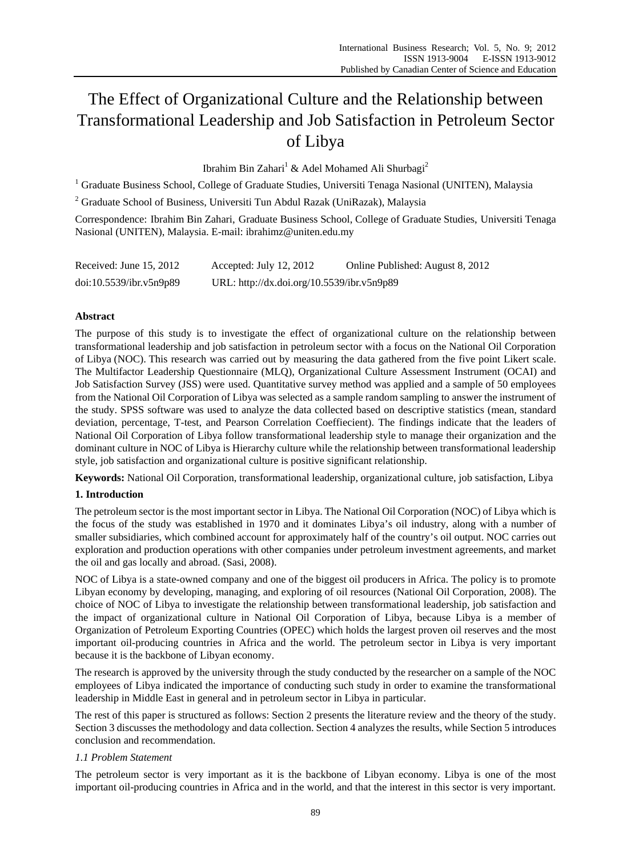# The Effect of Organizational Culture and the Relationship between Transformational Leadership and Job Satisfaction in Petroleum Sector of Libya

Ibrahim Bin Zahari<sup>1</sup> & Adel Mohamed Ali Shurbagi<sup>2</sup>

<sup>1</sup> Graduate Business School, College of Graduate Studies, Universiti Tenaga Nasional (UNITEN), Malaysia

<sup>2</sup> Graduate School of Business, Universiti Tun Abdul Razak (UniRazak), Malaysia

Correspondence: Ibrahim Bin Zahari, Graduate Business School, College of Graduate Studies, Universiti Tenaga Nasional (UNITEN), Malaysia. E-mail: ibrahimz@uniten.edu.my

| Received: June $15, 2012$ | Accepted: July 12, 2012                    | Online Published: August 8, 2012 |
|---------------------------|--------------------------------------------|----------------------------------|
| doi:10.5539/ibr.v5n9p89   | URL: http://dx.doi.org/10.5539/ibr.v5n9p89 |                                  |

# **Abstract**

The purpose of this study is to investigate the effect of organizational culture on the relationship between transformational leadership and job satisfaction in petroleum sector with a focus on the National Oil Corporation of Libya (NOC). This research was carried out by measuring the data gathered from the five point Likert scale. The Multifactor Leadership Questionnaire (MLQ), Organizational Culture Assessment Instrument (OCAI) and Job Satisfaction Survey (JSS) were used. Quantitative survey method was applied and a sample of 50 employees from the National Oil Corporation of Libya was selected as a sample random sampling to answer the instrument of the study. SPSS software was used to analyze the data collected based on descriptive statistics (mean, standard deviation, percentage, T-test, and Pearson Correlation Coeffiecient). The findings indicate that the leaders of National Oil Corporation of Libya follow transformational leadership style to manage their organization and the dominant culture in NOC of Libya is Hierarchy culture while the relationship between transformational leadership style, job satisfaction and organizational culture is positive significant relationship.

**Keywords:** National Oil Corporation, transformational leadership, organizational culture, job satisfaction, Libya

# **1. Introduction**

The petroleum sector is the most important sector in Libya. The National Oil Corporation (NOC) of Libya which is the focus of the study was established in 1970 and it dominates Libya's oil industry, along with a number of smaller subsidiaries, which combined account for approximately half of the country's oil output. NOC carries out exploration and production operations with other companies under petroleum investment agreements, and market the oil and gas locally and abroad. (Sasi, 2008).

NOC of Libya is a state-owned company and one of the biggest oil producers in Africa. The policy is to promote Libyan economy by developing, managing, and exploring of oil resources (National Oil Corporation, 2008). The choice of NOC of Libya to investigate the relationship between transformational leadership, job satisfaction and the impact of organizational culture in National Oil Corporation of Libya, because Libya is a member of Organization of Petroleum Exporting Countries (OPEC) which holds the largest proven oil reserves and the most important oil-producing countries in Africa and the world. The petroleum sector in Libya is very important because it is the backbone of Libyan economy.

The research is approved by the university through the study conducted by the researcher on a sample of the NOC employees of Libya indicated the importance of conducting such study in order to examine the transformational leadership in Middle East in general and in petroleum sector in Libya in particular.

The rest of this paper is structured as follows: Section 2 presents the literature review and the theory of the study. Section 3 discusses the methodology and data collection. Section 4 analyzes the results, while Section 5 introduces conclusion and recommendation.

# *1.1 Problem Statement*

The petroleum sector is very important as it is the backbone of Libyan economy. Libya is one of the most important oil-producing countries in Africa and in the world, and that the interest in this sector is very important.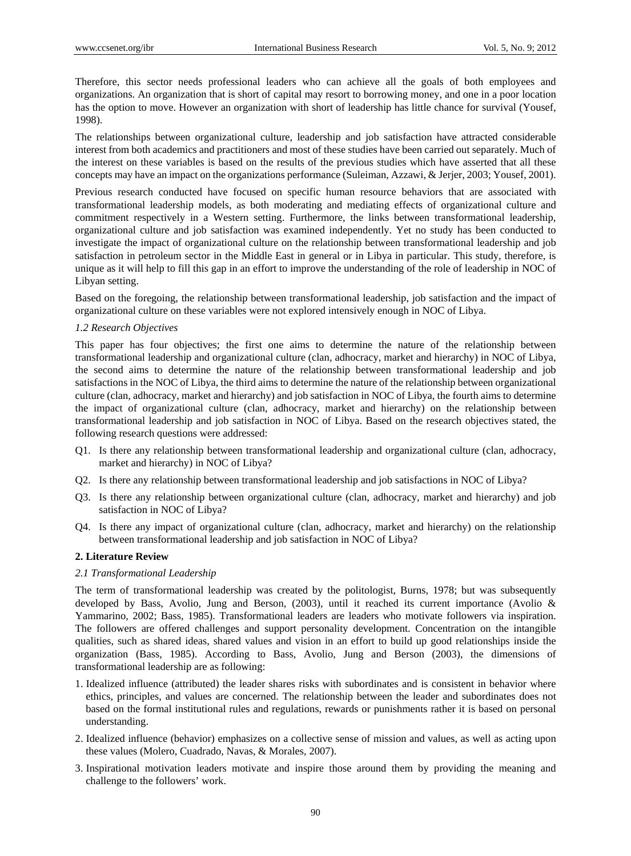Therefore, this sector needs professional leaders who can achieve all the goals of both employees and organizations. An organization that is short of capital may resort to borrowing money, and one in a poor location has the option to move. However an organization with short of leadership has little chance for survival (Yousef, 1998).

The relationships between organizational culture, leadership and job satisfaction have attracted considerable interest from both academics and practitioners and most of these studies have been carried out separately. Much of the interest on these variables is based on the results of the previous studies which have asserted that all these concepts may have an impact on the organizations performance (Suleiman, Azzawi, & Jerjer, 2003; Yousef, 2001).

Previous research conducted have focused on specific human resource behaviors that are associated with transformational leadership models, as both moderating and mediating effects of organizational culture and commitment respectively in a Western setting. Furthermore, the links between transformational leadership, organizational culture and job satisfaction was examined independently. Yet no study has been conducted to investigate the impact of organizational culture on the relationship between transformational leadership and job satisfaction in petroleum sector in the Middle East in general or in Libya in particular. This study, therefore, is unique as it will help to fill this gap in an effort to improve the understanding of the role of leadership in NOC of Libyan setting.

Based on the foregoing, the relationship between transformational leadership, job satisfaction and the impact of organizational culture on these variables were not explored intensively enough in NOC of Libya.

# *1.2 Research Objectives*

This paper has four objectives; the first one aims to determine the nature of the relationship between transformational leadership and organizational culture (clan, adhocracy, market and hierarchy) in NOC of Libya, the second aims to determine the nature of the relationship between transformational leadership and job satisfactions in the NOC of Libya, the third aims to determine the nature of the relationship between organizational culture (clan, adhocracy, market and hierarchy) and job satisfaction in NOC of Libya, the fourth aims to determine the impact of organizational culture (clan, adhocracy, market and hierarchy) on the relationship between transformational leadership and job satisfaction in NOC of Libya. Based on the research objectives stated, the following research questions were addressed:

- Q1. Is there any relationship between transformational leadership and organizational culture (clan, adhocracy, market and hierarchy) in NOC of Libya?
- Q2. Is there any relationship between transformational leadership and job satisfactions in NOC of Libya?
- Q3. Is there any relationship between organizational culture (clan, adhocracy, market and hierarchy) and job satisfaction in NOC of Libya?
- Q4. Is there any impact of organizational culture (clan, adhocracy, market and hierarchy) on the relationship between transformational leadership and job satisfaction in NOC of Libya?

# **2. Literature Review**

# *2.1 Transformational Leadership*

The term of transformational leadership was created by the politologist, Burns, 1978; but was subsequently developed by Bass, Avolio, Jung and Berson, (2003), until it reached its current importance (Avolio & Yammarino, 2002; Bass, 1985). Transformational leaders are leaders who motivate followers via inspiration. The followers are offered challenges and support personality development. Concentration on the intangible qualities, such as shared ideas, shared values and vision in an effort to build up good relationships inside the organization (Bass, 1985). According to Bass, Avolio, Jung and Berson (2003), the dimensions of transformational leadership are as following:

- 1. Idealized influence (attributed) the leader shares risks with subordinates and is consistent in behavior where ethics, principles, and values are concerned. The relationship between the leader and subordinates does not based on the formal institutional rules and regulations, rewards or punishments rather it is based on personal understanding.
- 2. Idealized influence (behavior) emphasizes on a collective sense of mission and values, as well as acting upon these values (Molero, Cuadrado, Navas, & Morales, 2007).
- 3. Inspirational motivation leaders motivate and inspire those around them by providing the meaning and challenge to the followers' work.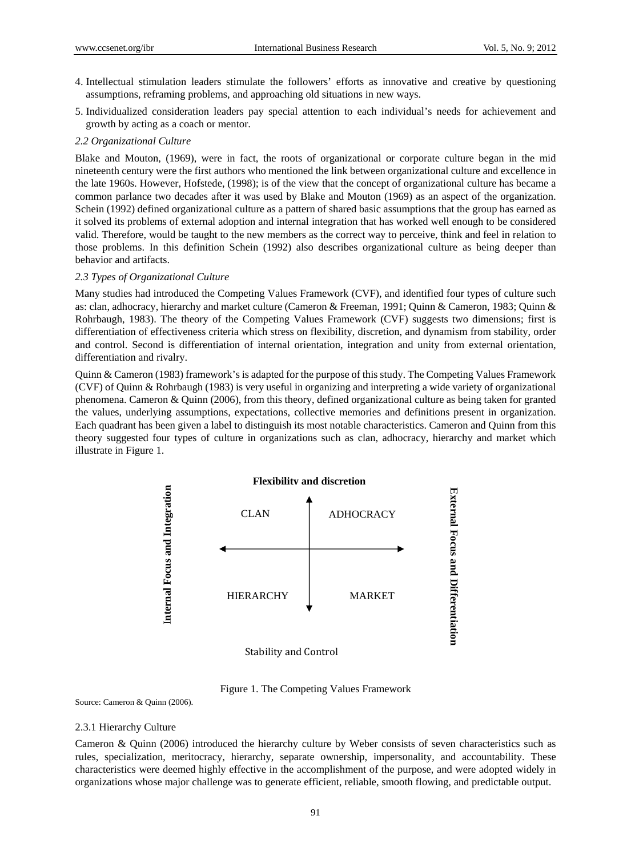- 4. Intellectual stimulation leaders stimulate the followers' efforts as innovative and creative by questioning assumptions, reframing problems, and approaching old situations in new ways.
- 5. Individualized consideration leaders pay special attention to each individual's needs for achievement and growth by acting as a coach or mentor.

#### *2.2 Organizational Culture*

Blake and Mouton, (1969), were in fact, the roots of organizational or corporate culture began in the mid nineteenth century were the first authors who mentioned the link between organizational culture and excellence in the late 1960s. However, Hofstede, (1998); is of the view that the concept of organizational culture has became a common parlance two decades after it was used by Blake and Mouton (1969) as an aspect of the organization. Schein (1992) defined organizational culture as a pattern of shared basic assumptions that the group has earned as it solved its problems of external adoption and internal integration that has worked well enough to be considered valid. Therefore, would be taught to the new members as the correct way to perceive, think and feel in relation to those problems. In this definition Schein (1992) also describes organizational culture as being deeper than behavior and artifacts.

#### *2.3 Types of Organizational Culture*

Many studies had introduced the Competing Values Framework (CVF), and identified four types of culture such as: clan, adhocracy, hierarchy and market culture (Cameron & Freeman, 1991; Quinn & Cameron, 1983; Quinn & Rohrbaugh, 1983). The theory of the Competing Values Framework (CVF) suggests two dimensions; first is differentiation of effectiveness criteria which stress on flexibility, discretion, and dynamism from stability, order and control. Second is differentiation of internal orientation, integration and unity from external orientation, differentiation and rivalry.

Quinn & Cameron (1983) framework's is adapted for the purpose of this study. The Competing Values Framework (CVF) of Quinn & Rohrbaugh (1983) is very useful in organizing and interpreting a wide variety of organizational phenomena. Cameron & Quinn (2006), from this theory, defined organizational culture as being taken for granted the values, underlying assumptions, expectations, collective memories and definitions present in organization. Each quadrant has been given a label to distinguish its most notable characteristics. Cameron and Quinn from this theory suggested four types of culture in organizations such as clan, adhocracy, hierarchy and market which illustrate in Figure 1.



Figure 1. The Competing Values Framework

Source: Cameron & Quinn (2006).

#### 2.3.1 Hierarchy Culture

Cameron & Quinn (2006) introduced the hierarchy culture by Weber consists of seven characteristics such as rules, specialization, meritocracy, hierarchy, separate ownership, impersonality, and accountability. These characteristics were deemed highly effective in the accomplishment of the purpose, and were adopted widely in organizations whose major challenge was to generate efficient, reliable, smooth flowing, and predictable output.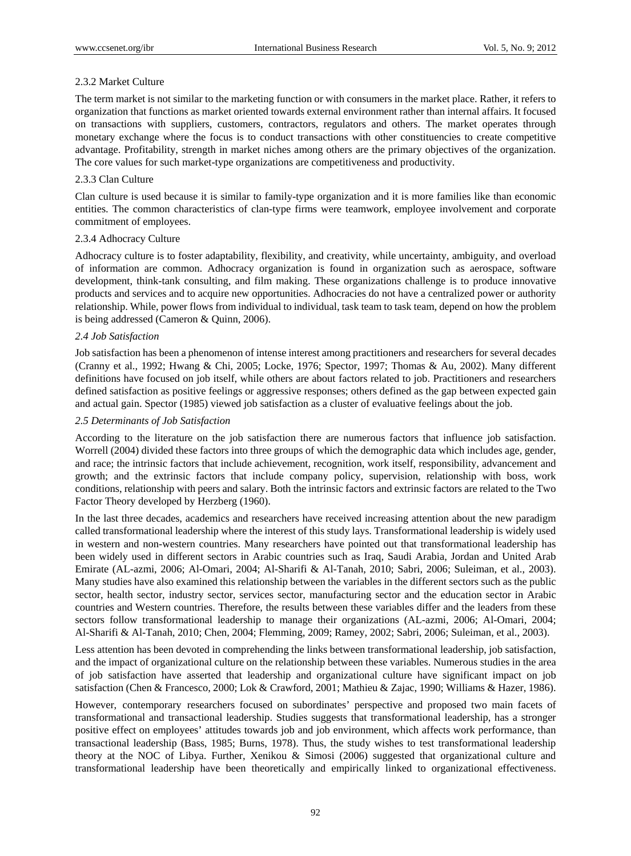# 2.3.2 Market Culture

The term market is not similar to the marketing function or with consumers in the market place. Rather, it refers to organization that functions as market oriented towards external environment rather than internal affairs. It focused on transactions with suppliers, customers, contractors, regulators and others. The market operates through monetary exchange where the focus is to conduct transactions with other constituencies to create competitive advantage. Profitability, strength in market niches among others are the primary objectives of the organization. The core values for such market-type organizations are competitiveness and productivity.

# 2.3.3 Clan Culture

Clan culture is used because it is similar to family-type organization and it is more families like than economic entities. The common characteristics of clan-type firms were teamwork, employee involvement and corporate commitment of employees.

# 2.3.4 Adhocracy Culture

Adhocracy culture is to foster adaptability, flexibility, and creativity, while uncertainty, ambiguity, and overload of information are common. Adhocracy organization is found in organization such as aerospace, software development, think-tank consulting, and film making. These organizations challenge is to produce innovative products and services and to acquire new opportunities. Adhocracies do not have a centralized power or authority relationship. While, power flows from individual to individual, task team to task team, depend on how the problem is being addressed (Cameron & Quinn, 2006).

# *2.4 Job Satisfaction*

Job satisfaction has been a phenomenon of intense interest among practitioners and researchers for several decades (Cranny et al., 1992; Hwang & Chi, 2005; Locke, 1976; Spector, 1997; Thomas & Au, 2002). Many different definitions have focused on job itself, while others are about factors related to job. Practitioners and researchers defined satisfaction as positive feelings or aggressive responses; others defined as the gap between expected gain and actual gain. Spector (1985) viewed job satisfaction as a cluster of evaluative feelings about the job.

#### *2.5 Determinants of Job Satisfaction*

According to the literature on the job satisfaction there are numerous factors that influence job satisfaction. Worrell (2004) divided these factors into three groups of which the demographic data which includes age, gender, and race; the intrinsic factors that include achievement, recognition, work itself, responsibility, advancement and growth; and the extrinsic factors that include company policy, supervision, relationship with boss, work conditions, relationship with peers and salary. Both the intrinsic factors and extrinsic factors are related to the Two Factor Theory developed by Herzberg (1960).

In the last three decades, academics and researchers have received increasing attention about the new paradigm called transformational leadership where the interest of this study lays. Transformational leadership is widely used in western and non-western countries. Many researchers have pointed out that transformational leadership has been widely used in different sectors in Arabic countries such as Iraq, Saudi Arabia, Jordan and United Arab Emirate (AL-azmi, 2006; Al-Omari, 2004; Al-Sharifi & Al-Tanah, 2010; Sabri, 2006; Suleiman, et al., 2003). Many studies have also examined this relationship between the variables in the different sectors such as the public sector, health sector, industry sector, services sector, manufacturing sector and the education sector in Arabic countries and Western countries. Therefore, the results between these variables differ and the leaders from these sectors follow transformational leadership to manage their organizations (AL-azmi, 2006; Al-Omari, 2004; Al-Sharifi & Al-Tanah, 2010; Chen, 2004; Flemming, 2009; Ramey, 2002; Sabri, 2006; Suleiman, et al., 2003).

Less attention has been devoted in comprehending the links between transformational leadership, job satisfaction, and the impact of organizational culture on the relationship between these variables. Numerous studies in the area of job satisfaction have asserted that leadership and organizational culture have significant impact on job satisfaction (Chen & Francesco, 2000; Lok & Crawford, 2001; Mathieu & Zajac, 1990; Williams & Hazer, 1986).

However, contemporary researchers focused on subordinates' perspective and proposed two main facets of transformational and transactional leadership. Studies suggests that transformational leadership, has a stronger positive effect on employees' attitudes towards job and job environment, which affects work performance, than transactional leadership (Bass, 1985; Burns, 1978). Thus, the study wishes to test transformational leadership theory at the NOC of Libya. Further, Xenikou & Simosi (2006) suggested that organizational culture and transformational leadership have been theoretically and empirically linked to organizational effectiveness.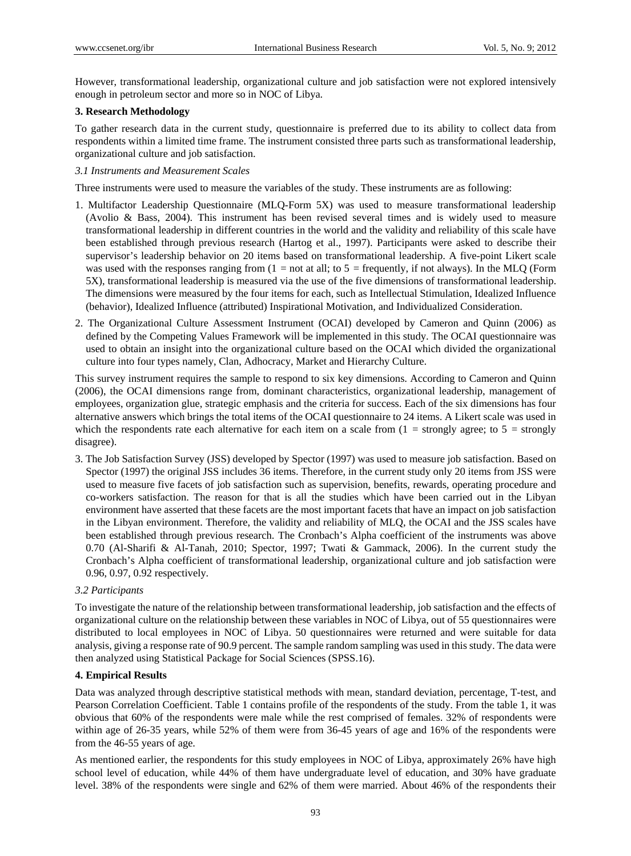However, transformational leadership, organizational culture and job satisfaction were not explored intensively enough in petroleum sector and more so in NOC of Libya.

#### **3. Research Methodology**

To gather research data in the current study, questionnaire is preferred due to its ability to collect data from respondents within a limited time frame. The instrument consisted three parts such as transformational leadership, organizational culture and job satisfaction.

#### *3.1 Instruments and Measurement Scales*

Three instruments were used to measure the variables of the study. These instruments are as following:

- 1. Multifactor Leadership Questionnaire (MLQ-Form 5X) was used to measure transformational leadership (Avolio & Bass, 2004). This instrument has been revised several times and is widely used to measure transformational leadership in different countries in the world and the validity and reliability of this scale have been established through previous research (Hartog et al., 1997). Participants were asked to describe their supervisor's leadership behavior on 20 items based on transformational leadership. A five-point Likert scale was used with the responses ranging from  $(1 = not at all; to 5 = frequently, if not always).$  In the MLQ (Form 5X), transformational leadership is measured via the use of the five dimensions of transformational leadership. The dimensions were measured by the four items for each, such as Intellectual Stimulation, Idealized Influence (behavior), Idealized Influence (attributed) Inspirational Motivation, and Individualized Consideration.
- 2. The Organizational Culture Assessment Instrument (OCAI) developed by Cameron and Quinn (2006) as defined by the Competing Values Framework will be implemented in this study. The OCAI questionnaire was used to obtain an insight into the organizational culture based on the OCAI which divided the organizational culture into four types namely, Clan, Adhocracy, Market and Hierarchy Culture.

This survey instrument requires the sample to respond to six key dimensions. According to Cameron and Quinn (2006), the OCAI dimensions range from, dominant characteristics, organizational leadership, management of employees, organization glue, strategic emphasis and the criteria for success. Each of the six dimensions has four alternative answers which brings the total items of the OCAI questionnaire to 24 items. A Likert scale was used in which the respondents rate each alternative for each item on a scale from  $(1 =$  strongly agree; to  $5 =$  strongly disagree).

3. The Job Satisfaction Survey (JSS) developed by Spector (1997) was used to measure job satisfaction. Based on Spector (1997) the original JSS includes 36 items. Therefore, in the current study only 20 items from JSS were used to measure five facets of job satisfaction such as supervision, benefits, rewards, operating procedure and co-workers satisfaction. The reason for that is all the studies which have been carried out in the Libyan environment have asserted that these facets are the most important facets that have an impact on job satisfaction in the Libyan environment. Therefore, the validity and reliability of MLQ, the OCAI and the JSS scales have been established through previous research. The Cronbach's Alpha coefficient of the instruments was above 0.70 (Al-Sharifi & Al-Tanah, 2010; Spector, 1997; Twati & Gammack, 2006). In the current study the Cronbach's Alpha coefficient of transformational leadership, organizational culture and job satisfaction were 0.96, 0.97, 0.92 respectively.

# *3.2 Participants*

To investigate the nature of the relationship between transformational leadership, job satisfaction and the effects of organizational culture on the relationship between these variables in NOC of Libya, out of 55 questionnaires were distributed to local employees in NOC of Libya. 50 questionnaires were returned and were suitable for data analysis, giving a response rate of 90.9 percent. The sample random sampling was used in this study. The data were then analyzed using Statistical Package for Social Sciences (SPSS.16).

#### **4. Empirical Results**

Data was analyzed through descriptive statistical methods with mean, standard deviation, percentage, T-test, and Pearson Correlation Coefficient. Table 1 contains profile of the respondents of the study. From the table 1, it was obvious that 60% of the respondents were male while the rest comprised of females. 32% of respondents were within age of 26-35 years, while 52% of them were from 36-45 years of age and 16% of the respondents were from the 46-55 years of age.

As mentioned earlier, the respondents for this study employees in NOC of Libya, approximately 26% have high school level of education, while 44% of them have undergraduate level of education, and 30% have graduate level. 38% of the respondents were single and 62% of them were married. About 46% of the respondents their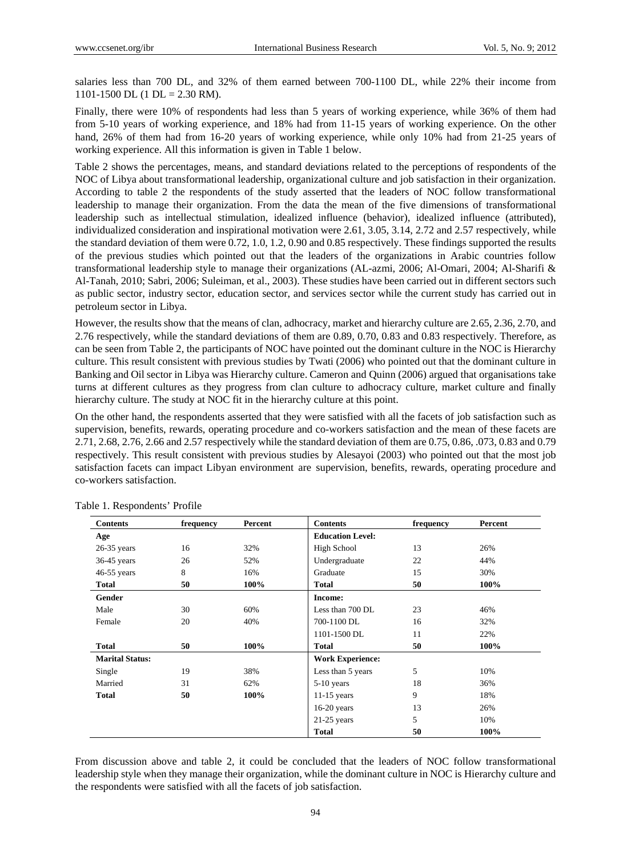salaries less than 700 DL, and 32% of them earned between 700-1100 DL, while 22% their income from  $1101-1500$  DL  $(1$  DL = 2.30 RM).

Finally, there were 10% of respondents had less than 5 years of working experience, while 36% of them had from 5-10 years of working experience, and 18% had from 11-15 years of working experience. On the other hand, 26% of them had from 16-20 years of working experience, while only 10% had from 21-25 years of working experience. All this information is given in Table 1 below.

Table 2 shows the percentages, means, and standard deviations related to the perceptions of respondents of the NOC of Libya about transformational leadership, organizational culture and job satisfaction in their organization. According to table 2 the respondents of the study asserted that the leaders of NOC follow transformational leadership to manage their organization. From the data the mean of the five dimensions of transformational leadership such as intellectual stimulation, idealized influence (behavior), idealized influence (attributed), individualized consideration and inspirational motivation were 2.61, 3.05, 3.14, 2.72 and 2.57 respectively, while the standard deviation of them were 0.72, 1.0, 1.2, 0.90 and 0.85 respectively. These findings supported the results of the previous studies which pointed out that the leaders of the organizations in Arabic countries follow transformational leadership style to manage their organizations (AL-azmi, 2006; Al-Omari, 2004; Al-Sharifi & Al-Tanah, 2010; Sabri, 2006; Suleiman, et al., 2003). These studies have been carried out in different sectors such as public sector, industry sector, education sector, and services sector while the current study has carried out in petroleum sector in Libya.

However, the results show that the means of clan, adhocracy, market and hierarchy culture are 2.65, 2.36, 2.70, and 2.76 respectively, while the standard deviations of them are 0.89, 0.70, 0.83 and 0.83 respectively. Therefore, as can be seen from Table 2, the participants of NOC have pointed out the dominant culture in the NOC is Hierarchy culture. This result consistent with previous studies by Twati (2006) who pointed out that the dominant culture in Banking and Oil sector in Libya was Hierarchy culture. Cameron and Quinn (2006) argued that organisations take turns at different cultures as they progress from clan culture to adhocracy culture, market culture and finally hierarchy culture. The study at NOC fit in the hierarchy culture at this point.

On the other hand, the respondents asserted that they were satisfied with all the facets of job satisfaction such as supervision, benefits, rewards, operating procedure and co-workers satisfaction and the mean of these facets are 2.71, 2.68, 2.76, 2.66 and 2.57 respectively while the standard deviation of them are 0.75, 0.86, .073, 0.83 and 0.79 respectively. This result consistent with previous studies by Alesayoi (2003) who pointed out that the most job satisfaction facets can impact Libyan environment are supervision, benefits, rewards, operating procedure and co-workers satisfaction.

| <b>Contents</b>        | frequency | Percent | <b>Contents</b>         | frequency | Percent |
|------------------------|-----------|---------|-------------------------|-----------|---------|
| Age                    |           |         | <b>Education Level:</b> |           |         |
| $26-35$ years          | 16        | 32%     | High School             | 13        | 26%     |
| $36-45$ years          | 26        | 52%     | Undergraduate           | 22        | 44%     |
| $46-55$ years          | 8         | 16%     | Graduate                | 15        | 30%     |
| Total                  | 50        | 100%    | <b>Total</b>            | 50        | 100%    |
| Gender                 |           |         | Income:                 |           |         |
| Male                   | 30        | 60%     | Less than 700 DL        | 23        | 46%     |
| Female                 | 20        | 40%     | 700-1100 DL             | 16        | 32%     |
|                        |           |         | 1101-1500 DL            | 11        | 22%     |
| <b>Total</b>           | 50        | 100%    | <b>Total</b>            | 50        | 100%    |
| <b>Marital Status:</b> |           |         | <b>Work Experience:</b> |           |         |
| Single                 | 19        | 38%     | Less than 5 years       | 5         | 10%     |
| Married                | 31        | 62%     | $5-10$ years            | 18        | 36%     |
| <b>Total</b>           | 50        | 100%    | $11-15$ years           | 9         | 18%     |
|                        |           |         | $16-20$ years           | 13        | 26%     |
|                        |           |         | $21-25$ years           | 5         | 10%     |
|                        |           |         | <b>Total</b>            | 50        | 100%    |

Table 1. Respondents' Profile

From discussion above and table 2, it could be concluded that the leaders of NOC follow transformational leadership style when they manage their organization, while the dominant culture in NOC is Hierarchy culture and the respondents were satisfied with all the facets of job satisfaction.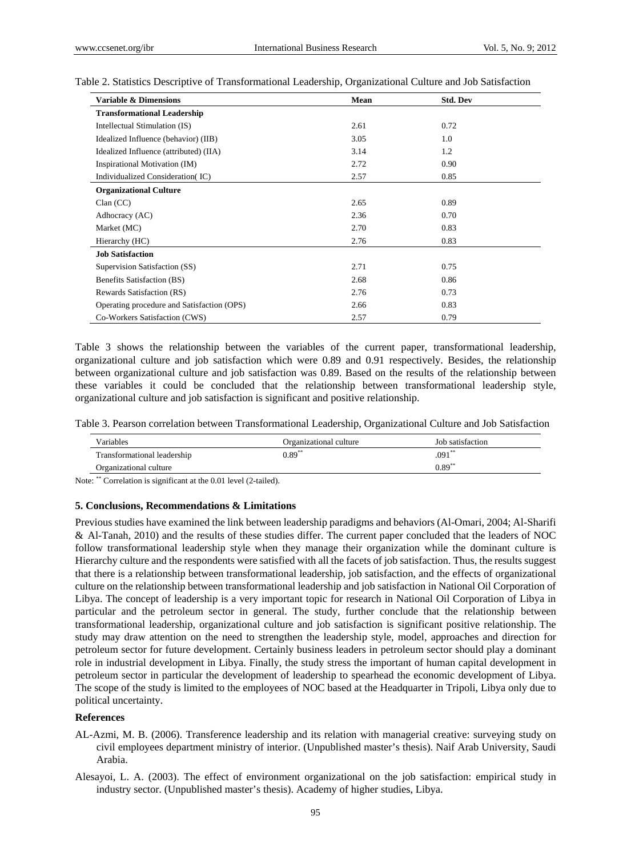| Variable & Dimensions                      | Mean | <b>Std. Dev</b> |  |
|--------------------------------------------|------|-----------------|--|
| <b>Transformational Leadership</b>         |      |                 |  |
| Intellectual Stimulation (IS)              | 2.61 | 0.72            |  |
| Idealized Influence (behavior) (IIB)       | 3.05 | 1.0             |  |
| Idealized Influence (attributed) (IIA)     | 3.14 | 1.2             |  |
| Inspirational Motivation (IM)              | 2.72 | 0.90            |  |
| Individualized Consideration(IC)           | 2.57 | 0.85            |  |
| <b>Organizational Culture</b>              |      |                 |  |
| Clan (CC)                                  | 2.65 | 0.89            |  |
| Adhocracy (AC)                             | 2.36 | 0.70            |  |
| Market (MC)                                | 2.70 | 0.83            |  |
| Hierarchy (HC)                             | 2.76 | 0.83            |  |
| <b>Job Satisfaction</b>                    |      |                 |  |
| Supervision Satisfaction (SS)              | 2.71 | 0.75            |  |
| <b>Benefits Satisfaction (BS)</b>          | 2.68 | 0.86            |  |
| Rewards Satisfaction (RS)                  | 2.76 | 0.73            |  |
| Operating procedure and Satisfaction (OPS) | 2.66 | 0.83            |  |
| Co-Workers Satisfaction (CWS)              | 2.57 | 0.79            |  |

#### Table 2. Statistics Descriptive of Transformational Leadership, Organizational Culture and Job Satisfaction

Table 3 shows the relationship between the variables of the current paper, transformational leadership, organizational culture and job satisfaction which were 0.89 and 0.91 respectively. Besides, the relationship between organizational culture and job satisfaction was 0.89. Based on the results of the relationship between these variables it could be concluded that the relationship between transformational leadership style, organizational culture and job satisfaction is significant and positive relationship.

Table 3. Pearson correlation between Transformational Leadership, Organizational Culture and Job Satisfaction

| Variables                   | Organizational culture | Job satisfaction |
|-----------------------------|------------------------|------------------|
| Transformational leadership | $0.89***$              | $.091***$        |
| Organizational culture      |                        | $0.89^{**}$      |

Note: \*\* Correlation is significant at the 0.01 level (2-tailed).

#### **5. Conclusions, Recommendations & Limitations**

Previous studies have examined the link between leadership paradigms and behaviors (Al-Omari, 2004; Al-Sharifi & Al-Tanah, 2010) and the results of these studies differ. The current paper concluded that the leaders of NOC follow transformational leadership style when they manage their organization while the dominant culture is Hierarchy culture and the respondents were satisfied with all the facets of job satisfaction. Thus, the results suggest that there is a relationship between transformational leadership, job satisfaction, and the effects of organizational culture on the relationship between transformational leadership and job satisfaction in National Oil Corporation of Libya. The concept of leadership is a very important topic for research in National Oil Corporation of Libya in particular and the petroleum sector in general. The study, further conclude that the relationship between transformational leadership, organizational culture and job satisfaction is significant positive relationship. The study may draw attention on the need to strengthen the leadership style, model, approaches and direction for petroleum sector for future development. Certainly business leaders in petroleum sector should play a dominant role in industrial development in Libya. Finally, the study stress the important of human capital development in petroleum sector in particular the development of leadership to spearhead the economic development of Libya. The scope of the study is limited to the employees of NOC based at the Headquarter in Tripoli, Libya only due to political uncertainty.

#### **References**

- AL-Azmi, M. B. (2006). Transference leadership and its relation with managerial creative: surveying study on civil employees department ministry of interior. (Unpublished master's thesis). Naif Arab University, Saudi Arabia.
- Alesayoi, L. A. (2003). The effect of environment organizational on the job satisfaction: empirical study in industry sector. (Unpublished master's thesis). Academy of higher studies, Libya.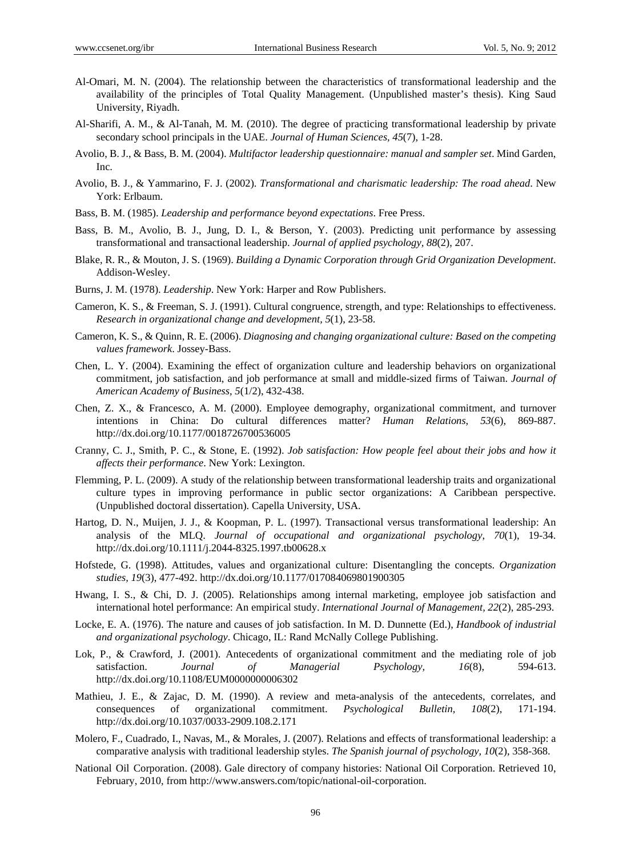- Al-Omari, M. N. (2004). The relationship between the characteristics of transformational leadership and the availability of the principles of Total Quality Management. (Unpublished master's thesis). King Saud University, Riyadh.
- Al-Sharifi, A. M., & Al-Tanah, M. M. (2010). The degree of practicing transformational leadership by private secondary school principals in the UAE. *Journal of Human Sciences, 45*(7), 1-28.
- Avolio, B. J., & Bass, B. M. (2004). *Multifactor leadership questionnaire: manual and sampler set*. Mind Garden, Inc.
- Avolio, B. J., & Yammarino, F. J. (2002). *Transformational and charismatic leadership: The road ahead*. New York: Erlbaum.
- Bass, B. M. (1985). *Leadership and performance beyond expectations*. Free Press.
- Bass, B. M., Avolio, B. J., Jung, D. I., & Berson, Y. (2003). Predicting unit performance by assessing transformational and transactional leadership. *Journal of applied psychology, 88*(2), 207.
- Blake, R. R., & Mouton, J. S. (1969). *Building a Dynamic Corporation through Grid Organization Development*. Addison-Wesley.
- Burns, J. M. (1978). *Leadership*. New York: Harper and Row Publishers.
- Cameron, K. S., & Freeman, S. J. (1991). Cultural congruence, strength, and type: Relationships to effectiveness. *Research in organizational change and development, 5*(1), 23-58.
- Cameron, K. S., & Quinn, R. E. (2006). *Diagnosing and changing organizational culture: Based on the competing values framework*. Jossey-Bass.
- Chen, L. Y. (2004). Examining the effect of organization culture and leadership behaviors on organizational commitment, job satisfaction, and job performance at small and middle-sized firms of Taiwan. *Journal of American Academy of Business, 5*(1/2), 432-438.
- Chen, Z. X., & Francesco, A. M. (2000). Employee demography, organizational commitment, and turnover intentions in China: Do cultural differences matter? *Human Relations, 53*(6), 869-887. http://dx.doi.org/10.1177/0018726700536005
- Cranny, C. J., Smith, P. C., & Stone, E. (1992). *Job satisfaction: How people feel about their jobs and how it affects their performance*. New York: Lexington.
- Flemming, P. L. (2009). A study of the relationship between transformational leadership traits and organizational culture types in improving performance in public sector organizations: A Caribbean perspective. (Unpublished doctoral dissertation). Capella University, USA.
- Hartog, D. N., Muijen, J. J., & Koopman, P. L. (1997). Transactional versus transformational leadership: An analysis of the MLQ. *Journal of occupational and organizational psychology, 70*(1), 19-34. http://dx.doi.org/10.1111/j.2044-8325.1997.tb00628.x
- Hofstede, G. (1998). Attitudes, values and organizational culture: Disentangling the concepts. *Organization studies, 19*(3), 477-492. http://dx.doi.org/10.1177/017084069801900305
- Hwang, I. S., & Chi, D. J. (2005). Relationships among internal marketing, employee job satisfaction and international hotel performance: An empirical study. *International Journal of Management, 22*(2), 285-293.
- Locke, E. A. (1976). The nature and causes of job satisfaction. In M. D. Dunnette (Ed.), *Handbook of industrial and organizational psychology*. Chicago, IL: Rand McNally College Publishing.
- Lok, P., & Crawford, J. (2001). Antecedents of organizational commitment and the mediating role of job satisfaction. *Journal of Managerial Psychology, 16*(8), 594-613. http://dx.doi.org/10.1108/EUM0000000006302
- Mathieu, J. E., & Zajac, D. M. (1990). A review and meta-analysis of the antecedents, correlates, and consequences of organizational commitment. *Psychological Bulletin, 108*(2), 171-194. http://dx.doi.org/10.1037/0033-2909.108.2.171
- Molero, F., Cuadrado, I., Navas, M., & Morales, J. (2007). Relations and effects of transformational leadership: a comparative analysis with traditional leadership styles. *The Spanish journal of psychology, 10*(2), 358-368.
- National Oil Corporation. (2008). Gale directory of company histories: National Oil Corporation. Retrieved 10, February, 2010, from http://www.answers.com/topic/national-oil-corporation.